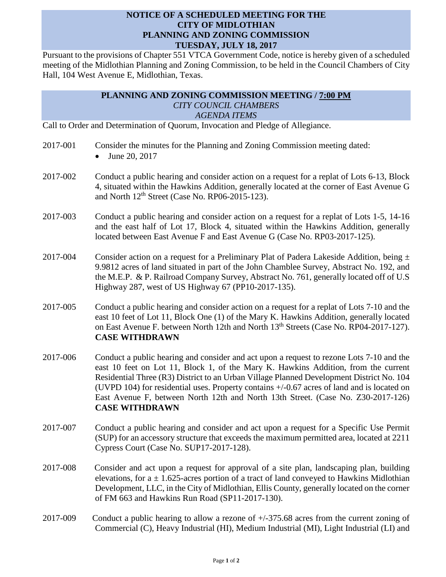## **NOTICE OF A SCHEDULED MEETING FOR THE CITY OF MIDLOTHIAN PLANNING AND ZONING COMMISSION TUESDAY, JULY 18, 2017**

Pursuant to the provisions of Chapter 551 VTCA Government Code, notice is hereby given of a scheduled meeting of the Midlothian Planning and Zoning Commission, to be held in the Council Chambers of City Hall, 104 West Avenue E, Midlothian, Texas.

## **PLANNING AND ZONING COMMISSION MEETING / 7:00 PM** *CITY COUNCIL CHAMBERS AGENDA ITEMS*

Call to Order and Determination of Quorum, Invocation and Pledge of Allegiance.

- 2017-001 Consider the minutes for the Planning and Zoning Commission meeting dated:
	- June 20, 2017
- 2017-002 Conduct a public hearing and consider action on a request for a replat of Lots 6-13, Block 4, situated within the Hawkins Addition, generally located at the corner of East Avenue G and North  $12<sup>th</sup>$  Street (Case No. RP06-2015-123).
- 2017-003 Conduct a public hearing and consider action on a request for a replat of Lots 1-5, 14-16 and the east half of Lot 17, Block 4, situated within the Hawkins Addition, generally located between East Avenue F and East Avenue G (Case No. RP03-2017-125).
- 2017-004 Consider action on a request for a Preliminary Plat of Padera Lakeside Addition, being  $\pm$ 9.9812 acres of land situated in part of the John Chamblee Survey, Abstract No. 192, and the M.E.P. & P. Railroad Company Survey, Abstract No. 761, generally located off of U.S Highway 287, west of US Highway 67 (PP10-2017-135).
- 2017-005 Conduct a public hearing and consider action on a request for a replat of Lots 7-10 and the east 10 feet of Lot 11, Block One (1) of the Mary K. Hawkins Addition, generally located on East Avenue F. between North 12th and North 13<sup>th</sup> Streets (Case No. RP04-2017-127). **CASE WITHDRAWN**
- 2017-006 Conduct a public hearing and consider and act upon a request to rezone Lots 7-10 and the east 10 feet on Lot 11, Block 1, of the Mary K. Hawkins Addition, from the current Residential Three (R3) District to an Urban Village Planned Development District No. 104 (UVPD 104) for residential uses. Property contains +/-0.67 acres of land and is located on East Avenue F, between North 12th and North 13th Street. (Case No. Z30-2017-126) **CASE WITHDRAWN**
- 2017-007 Conduct a public hearing and consider and act upon a request for a Specific Use Permit (SUP) for an accessory structure that exceeds the maximum permitted area, located at 2211 Cypress Court (Case No. SUP17-2017-128).
- 2017-008 Consider and act upon a request for approval of a site plan, landscaping plan, building elevations, for  $a \pm 1.625$ -acres portion of a tract of land conveyed to Hawkins Midlothian Development, LLC, in the City of Midlothian, Ellis County, generally located on the corner of FM 663 and Hawkins Run Road (SP11-2017-130).
- 2017-009 Conduct a public hearing to allow a rezone of +/-375.68 acres from the current zoning of Commercial (C), Heavy Industrial (HI), Medium Industrial (MI), Light Industrial (LI) and